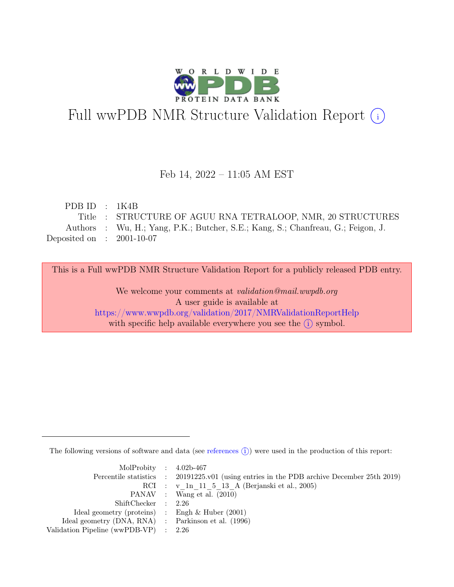

# Full wwPDB NMR Structure Validation Report (i)

#### Feb 14, 2022 – 11:05 AM EST

| PDBID : 1K4B                |                                                                                  |
|-----------------------------|----------------------------------------------------------------------------------|
|                             | Title : STRUCTURE OF AGUU RNA TETRALOOP, NMR, 20 STRUCTURES                      |
|                             | Authors : Wu, H.; Yang, P.K.; Butcher, S.E.; Kang, S.; Chanfreau, G.; Feigon, J. |
| Deposited on : $2001-10-07$ |                                                                                  |

This is a Full wwPDB NMR Structure Validation Report for a publicly released PDB entry.

We welcome your comments at *validation@mail.wwpdb.org* A user guide is available at <https://www.wwpdb.org/validation/2017/NMRValidationReportHelp> with specific help available everywhere you see the  $(i)$  symbol.

The following versions of software and data (see [references](https://www.wwpdb.org/validation/2017/NMRValidationReportHelp#references)  $\hat{I}$ ) were used in the production of this report:

| MolProbity : $4.02b-467$                            |                                                                                            |
|-----------------------------------------------------|--------------------------------------------------------------------------------------------|
|                                                     | Percentile statistics : 20191225.v01 (using entries in the PDB archive December 25th 2019) |
|                                                     | RCI : v 1n 11 5 13 A (Berjanski et al., 2005)                                              |
|                                                     | PANAV : Wang et al. (2010)                                                                 |
| ShiftChecker : 2.26                                 |                                                                                            |
| Ideal geometry (proteins) : Engh $\&$ Huber (2001)  |                                                                                            |
| Ideal geometry (DNA, RNA) : Parkinson et al. (1996) |                                                                                            |
| Validation Pipeline (wwPDB-VP) $\therefore$ 2.26    |                                                                                            |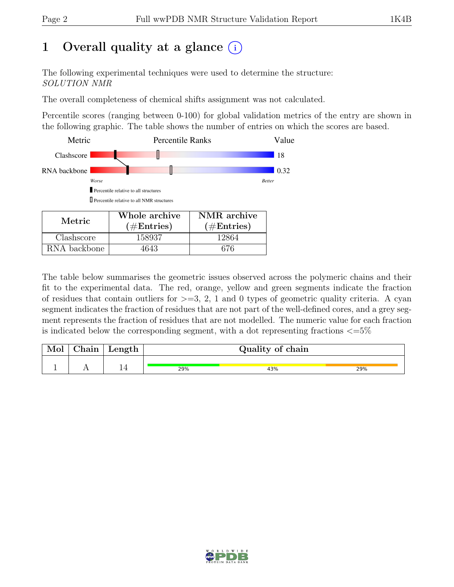## 1 Overall quality at a glance  $(i)$

The following experimental techniques were used to determine the structure: SOLUTION NMR

The overall completeness of chemical shifts assignment was not calculated.

Percentile scores (ranging between 0-100) for global validation metrics of the entry are shown in the following graphic. The table shows the number of entries on which the scores are based.



RNA backbone | 4643 | 676

The table below summarises the geometric issues observed across the polymeric chains and their fit to the experimental data. The red, orange, yellow and green segments indicate the fraction of residues that contain outliers for  $>=$  3, 2, 1 and 0 types of geometric quality criteria. A cyan segment indicates the fraction of residues that are not part of the well-defined cores, and a grey segment represents the fraction of residues that are not modelled. The numeric value for each fraction is indicated below the corresponding segment, with a dot representing fractions  $\epsilon = 5\%$ 

| Mol | ${\rm Chain}$ | Length |     | Quality of chain |     |
|-----|---------------|--------|-----|------------------|-----|
|     |               |        |     |                  |     |
|     |               |        | 29% | 43%              | 29% |

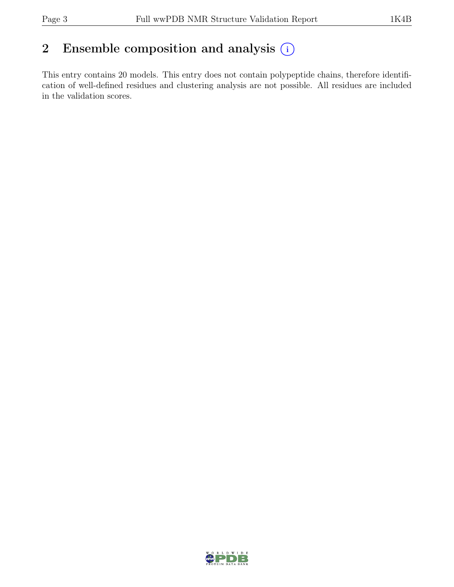## 2 Ensemble composition and analysis  $(i)$

This entry contains 20 models. This entry does not contain polypeptide chains, therefore identification of well-defined residues and clustering analysis are not possible. All residues are included in the validation scores.

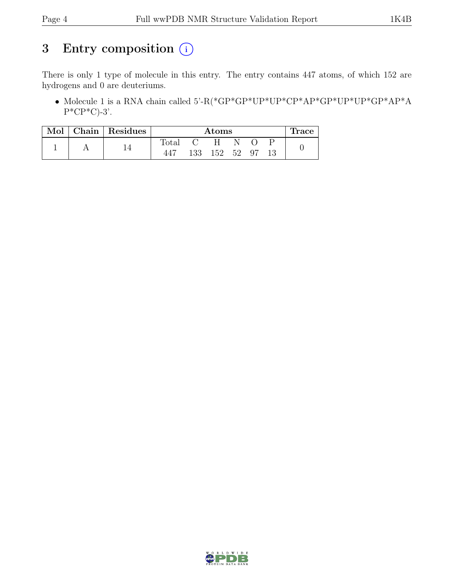## 3 Entry composition  $(i)$

There is only 1 type of molecule in this entry. The entry contains 447 atoms, of which 152 are hydrogens and 0 are deuteriums.

• Molecule 1 is a RNA chain called 5'-R(\*GP\*GP\*UP\*UP\*CP\*AP\*GP\*UP\*UP\*GP\*AP\*A  $P^*CP^*C$ -3'.

| Mol |  | Chain   Residues |       |     | Atoms |    |    |  | Trace |
|-----|--|------------------|-------|-----|-------|----|----|--|-------|
|     |  |                  | Total |     |       |    |    |  |       |
|     |  | 447              | 133   | 152 | 52    | 97 | 13 |  |       |

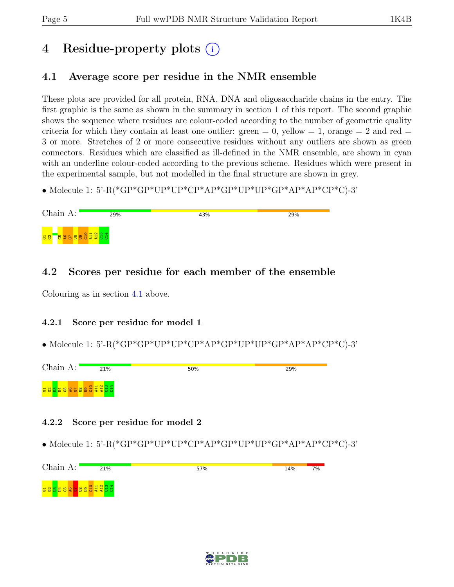## 4 Residue-property plots (i)

## <span id="page-4-0"></span>4.1 Average score per residue in the NMR ensemble

These plots are provided for all protein, RNA, DNA and oligosaccharide chains in the entry. The first graphic is the same as shown in the summary in section 1 of this report. The second graphic shows the sequence where residues are colour-coded according to the number of geometric quality criteria for which they contain at least one outlier: green  $= 0$ , yellow  $= 1$ , orange  $= 2$  and red  $=$ 3 or more. Stretches of 2 or more consecutive residues without any outliers are shown as green connectors. Residues which are classified as ill-defined in the NMR ensemble, are shown in cyan with an underline colour-coded according to the previous scheme. Residues which were present in the experimental sample, but not modelled in the final structure are shown in grey.

• Molecule 1: 5'-R(\*GP\*GP\*UP\*UP\*CP\*AP\*GP\*UP\*UP\*GP\*AP\*AP\*CP\*C)-3'

| Chain A:                                    | 29% | 43% | 29% |
|---------------------------------------------|-----|-----|-----|
| <b>Bessed Education</b><br><mark>공 않</mark> |     |     |     |

### 4.2 Scores per residue for each member of the ensemble

Colouring as in section [4.1](#page-4-0) above.

#### 4.2.1 Score per residue for model 1

• Molecule 1: 5'-R(\*GP\*GP\*UP\*UP\*CP\*AP\*GP\*UP\*UP\*GP\*AP\*AP\*CP\*C)-3'



#### 4.2.2 Score per residue for model 2



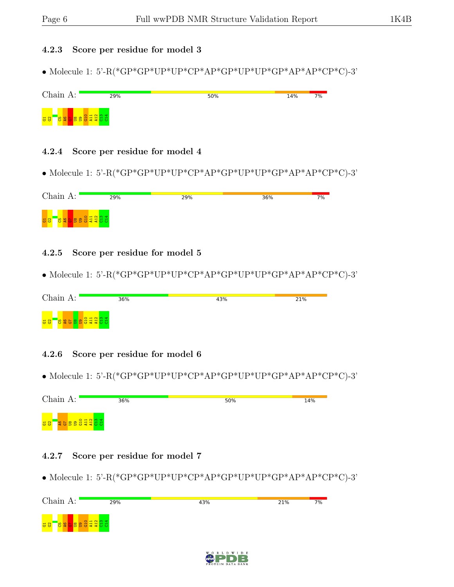#### 4.2.3 Score per residue for model 3

• Molecule 1: 5'-R(\*GP\*GP\*UP\*UP\*CP\*AP\*GP\*UP\*UP\*GP\*AP\*AP\*CP\*C)-3'



#### 4.2.4 Score per residue for model 4

• Molecule 1: 5'-R(\*GP\*GP\*UP\*UP\*CP\*AP\*GP\*UP\*UP\*GP\*AP\*AP\*CP\*C)-3'

| Chain A:         | 29%                      | 29% | 36% | 7% |
|------------------|--------------------------|-----|-----|----|
| <mark>명 8</mark> | <b>Bebelded</b> See 1999 |     |     |    |

#### 4.2.5 Score per residue for model 5

• Molecule 1: 5'-R(\*GP\*GP\*UP\*UP\*CP\*AP\*GP\*UP\*UP\*GP\*AP\*AP\*CP\*C)-3'

| Chain A:                                                         | 36% | 43% | 21% |
|------------------------------------------------------------------|-----|-----|-----|
| <mark>ិមួ ទី និង ទី ឡូ ដូ ដូ</mark> ដូ ដូ ដូ<br><mark>명 않</mark> |     |     |     |

#### 4.2.6 Score per residue for model 6

• Molecule 1: 5'-R(\*GP\*GP\*UP\*UP\*CP\*AP\*GP\*UP\*UP\*GP\*AP\*AP\*CP\*C)-3'

| Chain A:                            | 36% | 50% | 14% |
|-------------------------------------|-----|-----|-----|
| $O$ $H$ $N$ $M$<br><mark>공 않</mark> |     |     |     |

#### 4.2.7 Score per residue for model 7



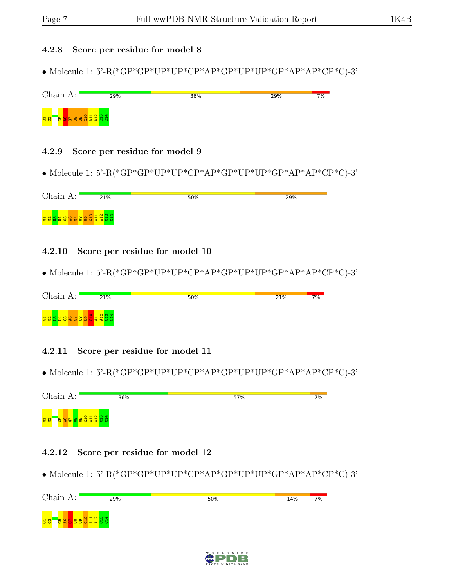#### 4.2.8 Score per residue for model 8

• Molecule 1: 5'-R(\*GP\*GP\*UP\*UP\*CP\*AP\*GP\*UP\*UP\*GP\*AP\*AP\*CP\*C)-3'

| Chain A:                                        | 29% | 36% | 29% | 7% |
|-------------------------------------------------|-----|-----|-----|----|
| <b>DESERVADE</b><br>$\frac{1}{6}$ $\frac{1}{6}$ |     |     |     |    |

#### 4.2.9 Score per residue for model 9

 $\bullet$  Molecule 1: 5'-R(\*GP\*GP\*UP\*UP\*CP\*AP\*GP\*UP\*UP\*GP\*AP\*AP\*CP\*C)-3'

| Chain A: | 21%                    | 50% | 29% |
|----------|------------------------|-----|-----|
|          | <b>BBBBSC BBBBEEBB</b> |     |     |

#### 4.2.10 Score per residue for model 10

• Molecule 1: 5'-R(\*GP\*GP\*UP\*UP\*CP\*AP\*GP\*UP\*UP\*GP\*AP\*AP\*CP\*C)-3'

| Chain $A:$             | 21% | 50% | 21% | 7% |
|------------------------|-----|-----|-----|----|
| <b>BBBBBBBBBBBBBBB</b> |     |     |     |    |

#### 4.2.11 Score per residue for model 11

• Molecule 1: 5'-R(\*GP\*GP\*UP\*UP\*CP\*AP\*GP\*UP\*UP\*GP\*AP\*AP\*CP\*C)-3'

Chain A: 36% 57%  $7%$  $\frac{1}{10}$  $\frac{11}{2}$  $\frac{12}{1}$ ទី :<br>ទី  $\frac{4}{5}$ 182 <mark>G16</mark><br>182 G16  $\overline{\mathbf{g}}$  .

#### 4.2.12 Score per residue for model 12



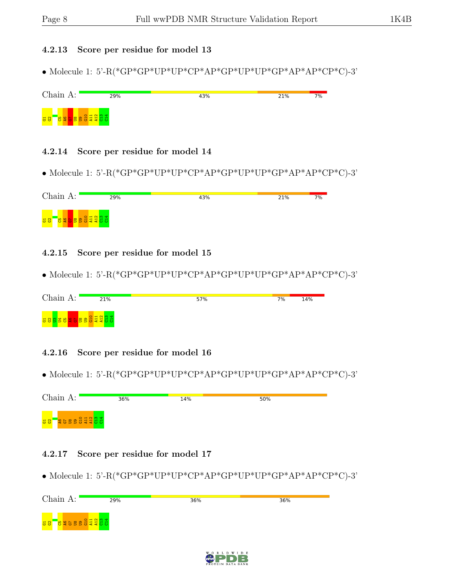#### 4.2.13 Score per residue for model 13

• Molecule 1: 5'-R(\*GP\*GP\*UP\*UP\*CP\*AP\*GP\*UP\*UP\*GP\*AP\*AP\*CP\*C)-3'



#### 4.2.14 Score per residue for model 14

 $\bullet$  Molecule 1: 5'-R(\*GP\*GP\*UP\*UP\*CP\*AP\*GP\*UP\*UP\*GP\*AP\*AP\*CP\*C)-3'

| Chain A:                    | 29%                                                                                                                   | 43% | 21% | 7% |
|-----------------------------|-----------------------------------------------------------------------------------------------------------------------|-----|-----|----|
| $\frac{1}{6}$ $\frac{1}{2}$ | <b>De la provincia de la provincia de la provincia de la provincia de la provincia de la provincia de la provinci</b> |     |     |    |

#### 4.2.15 Score per residue for model 15

• Molecule 1: 5'-R(\*GP\*GP\*UP\*UP\*CP\*AP\*GP\*UP\*UP\*GP\*AP\*AP\*CP\*C)-3'

| Chain A:                   | 21% | 57% | 7% | 14% |
|----------------------------|-----|-----|----|-----|
| <b>GOOSSO SOOSSO SAGGS</b> |     |     |    |     |

#### 4.2.16 Score per residue for model 16

 $\bullet$  Molecule 1: 5'-R(\*GP\*GP\*UP\*UP\*CP\*AP\*GP\*UP\*UP\*GP\*AP\*AP\*CP\*C)-3'

| Chain A:                                 | 36% | 14% | 50% |
|------------------------------------------|-----|-----|-----|
| <b>Example of the Second State</b><br>38 |     |     |     |

#### 4.2.17 Score per residue for model 17



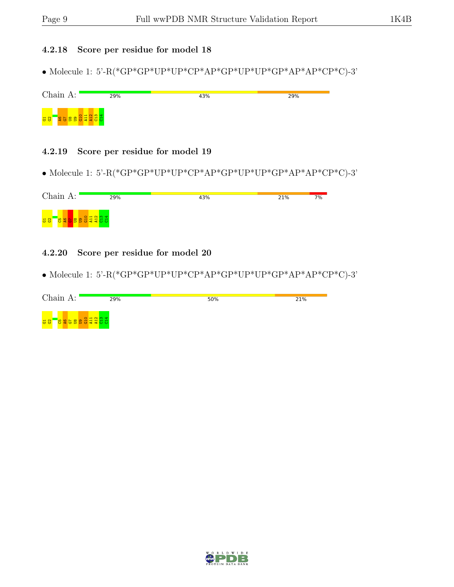#### 4.2.18 Score per residue for model 18

 $\bullet$  Molecule 1: 5'-R(\*GP\*GP\*UP\*UP\*CP\*AP\*GP\*UP\*UP\*GP\*AP\*AP\*CP\*C)-3'

| Chain $A:$            | 29% | 43% | 29% |
|-----------------------|-----|-----|-----|
| <mark>ដ ន</mark><br>Ð |     |     |     |

#### 4.2.19 Score per residue for model 19

 $\bullet$  Molecule 1: 5'-R(\*GP\*GP\*UP\*UP\*CP\*AP\*GP\*UP\*UP\*GP\*AP\*AP\*CP\*C)-3'

| Chain A:         | 29% | 43% | 21% | 7% |
|------------------|-----|-----|-----|----|
| <mark>명 양</mark> |     |     |     |    |

#### 4.2.20 Score per residue for model 20

| Chain A:                           | 29%                 | 50% | 21% |
|------------------------------------|---------------------|-----|-----|
| <u>មាន ដូច មិន ខ្លួន មិន</u><br>38 | $O$ $H$ $N$ $M$ $d$ |     |     |

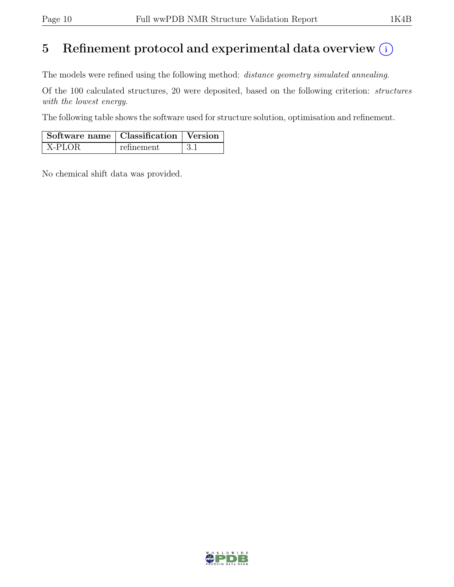## 5 Refinement protocol and experimental data overview  $(i)$

The models were refined using the following method: distance geometry simulated annealing.

Of the 100 calculated structures, 20 were deposited, based on the following criterion: structures with the lowest energy.

The following table shows the software used for structure solution, optimisation and refinement.

| Software name   Classification   Version |            |  |
|------------------------------------------|------------|--|
| $\vert$ X-PLOR                           | refinement |  |

No chemical shift data was provided.

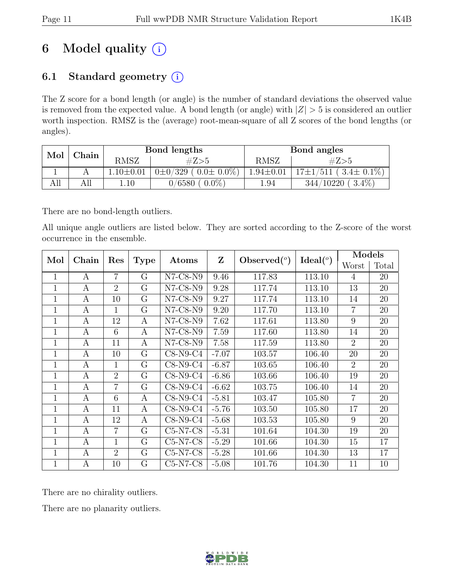## 6 Model quality  $(i)$

## 6.1 Standard geometry  $(i)$

The Z score for a bond length (or angle) is the number of standard deviations the observed value is removed from the expected value. A bond length (or angle) with  $|Z| > 5$  is considered an outlier worth inspection. RMSZ is the (average) root-mean-square of all Z scores of the bond lengths (or angles).

| Mol | Chain |                 | Bond lengths                  |                 | Bond angles                    |  |
|-----|-------|-----------------|-------------------------------|-----------------|--------------------------------|--|
|     |       | <b>RMSZ</b>     | #Z>5                          | <b>RMSZ</b>     | #Z>5                           |  |
|     |       | $1.10 \pm 0.01$ | $0\pm0/329$ ( $0.0\pm0.0\%$ ) | $1.94 \pm 0.01$ | $17\pm1/511$ ( $3.4\pm0.1\%$ ) |  |
| AШ  | All   | 1.10            | $0.0\%$<br>0/6580             | 1.94            | $3.4\%$<br>344/10220           |  |

There are no bond-length outliers.

All unique angle outliers are listed below. They are sorted according to the Z-score of the worst occurrence in the ensemble.

| Mol          | Chain            | Res            |             |                               | $\mathbf{Z}$ |                | Ideal $(°)$ | Models         |       |
|--------------|------------------|----------------|-------------|-------------------------------|--------------|----------------|-------------|----------------|-------|
|              |                  |                | <b>Type</b> | Atoms                         |              | Observed $(°)$ |             | Worst          | Total |
| $\mathbf{1}$ | A                | $\overline{7}$ | G           | $N7-C8-N9$                    | 9.46         | 117.83         | 113.10      | $\overline{4}$ | 20    |
| $\mathbf{1}$ | A                | $\overline{2}$ | G           | $N7-C8-N9$                    | 9.28         | 117.74         | 113.10      | 13             | 20    |
| $\mathbf{1}$ | A                | 10             | G           | $N7$ -C8- $N9$                | 9.27         | 117.74         | 113.10      | 14             | 20    |
| $\mathbf{1}$ | A                | 1              | G           | $N7$ -C8- $N9$                | 9.20         | 117.70         | 113.10      | $\overline{7}$ | 20    |
| 1            | A                | 12             | А           | $N7-C8-N9$                    | 7.62         | 117.61         | 113.80      | 9              | 20    |
| 1            | $\mathbf{A}$     | 6              | А           | $\overline{\text{N}}$ 7-C8-N9 | 7.59         | 117.60         | 113.80      | 14             | 20    |
| $\mathbf{1}$ | $\mathbf{A}$     | 11             | A           | $N7$ -C8- $N9$                | 7.58         | 117.59         | 113.80      | $\overline{2}$ | 20    |
| $\mathbf{1}$ | A                | 10             | $G\$        | $C8-N9-C4$                    | $-7.07$      | 103.57         | 106.40      | 20             | 20    |
| 1            | A                | 1              | G           | $C8-N9-C4$                    | $-6.87$      | 103.65         | 106.40      | $\overline{2}$ | 20    |
| 1            | A                | $\overline{2}$ | G           | $C8-N9-C4$                    | $-6.86$      | 103.66         | 106.40      | 19             | 20    |
| $\mathbf{1}$ | А                | $\overline{7}$ | G           | $C8-N9-C4$                    | $-6.62$      | 103.75         | 106.40      | 14             | 20    |
| 1            | A                | 6              | А           | $C8-N9-C4$                    | $-5.81$      | 103.47         | 105.80      | $\overline{7}$ | 20    |
| $\mathbf{1}$ | А                | 11             | А           | $C8-N9-C4$                    | $-5.76$      | 103.50         | 105.80      | 17             | 20    |
| $\mathbf{1}$ | $\mathbf{A}$     | 12             | А           | $C8-N9-C4$                    | $-5.68$      | 103.53         | 105.80      | 9              | 20    |
| $\mathbf{1}$ | А                | 7              | G           | $C5-N7-C8$                    | $-5.31$      | 101.64         | 104.30      | 19             | 20    |
| 1            | A                | 1              | G           | $C5-N7-C8$                    | $-5.29$      | 101.66         | 104.30      | 15             | 17    |
| 1            | А                | $\overline{2}$ | G           | $C5-N7-C8$                    | $-5.28$      | 101.66         | 104.30      | 13             | 17    |
| 1            | $\boldsymbol{A}$ | 10             | G           | $C5-N7-C8$                    | $-5.08$      | 101.76         | 104.30      | 11             | 10    |

There are no chirality outliers.

There are no planarity outliers.

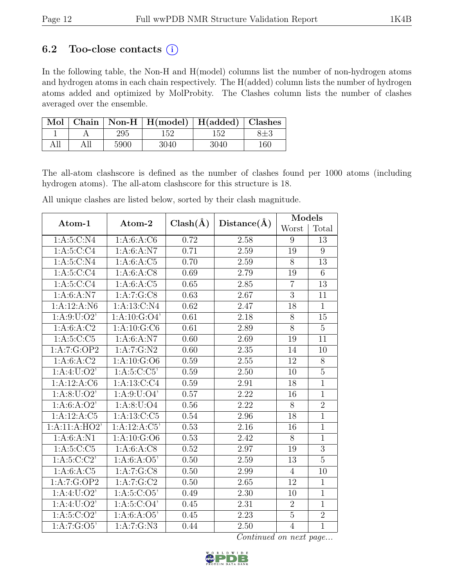### 6.2 Too-close contacts  $(i)$

In the following table, the Non-H and H(model) columns list the number of non-hydrogen atoms and hydrogen atoms in each chain respectively. The H(added) column lists the number of hydrogen atoms added and optimized by MolProbity. The Clashes column lists the number of clashes averaged over the ensemble.

|  |      | Mol   Chain   Non-H   H(model)   H(added)   Clashes |      |     |
|--|------|-----------------------------------------------------|------|-----|
|  | 295  | 152                                                 | 152. |     |
|  | 5900 | 3040                                                | 3040 | 160 |

The all-atom clashscore is defined as the number of clashes found per 1000 atoms (including hydrogen atoms). The all-atom clashscore for this structure is 18.

All unique clashes are listed below, sorted by their clash magnitude.

| Atom-1                     | Atom-2           | $Clash(\AA)$ | Distance(A)       | Models         |                 |  |
|----------------------------|------------------|--------------|-------------------|----------------|-----------------|--|
|                            |                  |              |                   | Worst          | Total           |  |
| 1: A:5:C:N4                | 1: A:6: A: C6    | 0.72         | 2.58              | 9              | 13              |  |
| 1: A:5: C: C4              | 1: A:6: A: N7    | 0.71         | 2.59              | 19             | 9               |  |
| $1: A:5: C: \overline{N4}$ | 1: A:6:A:C5      | 0.70         | 2.59              | 8              | 13              |  |
| 1: A:5: C: C4              | 1: A:6: A: C8    | 0.69         | 2.79              | 19             | 6               |  |
| 1: A:5: C:CA               | 1:A:6:A:C5       | 0.65         | 2.85              | $\overline{7}$ | $\overline{13}$ |  |
| 1: A:6: A: N7              | 1:A:7:G:CS       | 0.63         | 2.67              | 3              | 11              |  |
| 1:A:12:A:N6                | 1: A:13:C:N4     | 0.62         | 2.47              | 18             | $\mathbf{1}$    |  |
| 1: A:9: U:O2'              | 1: A: 10: G: O4' | 0.61         | 2.18              | 8              | 15              |  |
| 1: A:6: A: C2              | 1: A: 10: G: C6  | 0.61         | 2.89              | $\overline{8}$ | $\overline{5}$  |  |
| 1: A:5:C:C5                | 1: A:6: A: N7    | 0.60         | 2.69              | 19             | 11              |  |
| 1:A:7:G:OP2                | 1:A:7:G:N2       | 0.60         | 2.35              | 14             | 10              |  |
| 1: A:6: A:C2               | 1:A:10:G:O6      | 0.59         | 2.55              | 12             | $\overline{8}$  |  |
| 1: A:4: U:O2'              | 1: A:5: C: C5'   | 0.59         | 2.50              | 10             | $\overline{5}$  |  |
| 1:A:12:A:C6                | 1: A:13:C:C4     | 0.59         | 2.91              | 18             | $\overline{1}$  |  |
| 1: A:8: U:O2'              | 1: A:9: U:O4'    | 0.57         | 2.22              | 16             | $\mathbf{1}$    |  |
| 1: A:6: A:O2'              | 1: A:8: U:O4     | 0.56         | 2.22              | 8              | $\overline{2}$  |  |
| 1:A:12:A:C5                | 1:A:13:C:C5      | 0.54         | 2.96              | 18             | $\overline{1}$  |  |
| 1:A:11:A:HO2'              | 1:A:12:A:C5'     | 0.53         | 2.16              | 16             | $\overline{1}$  |  |
| 1: A:6: A: N1              | 1:A:10:G:O6      | 0.53         | $\overline{2}.42$ | $\overline{8}$ | $\overline{1}$  |  |
| 1: A:5:C:C5                | 1: A:6: A: C8    | 0.52         | 2.97              | 19             | 3               |  |
| 1: A:5:C:C2                | 1: A:6: A:O5'    | 0.50         | 2.59              | 13             | $\overline{5}$  |  |
| 1: A:6: A: C5              | 1:A:7:G:C8       | 0.50         | 2.99              | $\overline{4}$ | 10              |  |
| 1:A:7:G:OP2                | 1:A:7:G:C2       | 0.50         | 2.65              | 12             | $\mathbf{1}$    |  |
| 1: A:4: U:O2'              | 1: A:5: C:O5'    | 0.49         | 2.30              | 10             | $\overline{1}$  |  |
| 1: A:4: U:O2'              | 1: A: 5: C: O4'  | 0.45         | 2.31              | $\overline{2}$ | $\overline{1}$  |  |
| 1: A:5: C:O2'              | 1: A:6: A:O5'    | 0.45         | $\overline{2.23}$ | $\overline{5}$ | $\overline{2}$  |  |
| 1:A:7:G:O5'                | 1: A: 7: G: N3   | 0.44         | 2.50              | $\overline{4}$ | $\overline{1}$  |  |

Continued on next page...

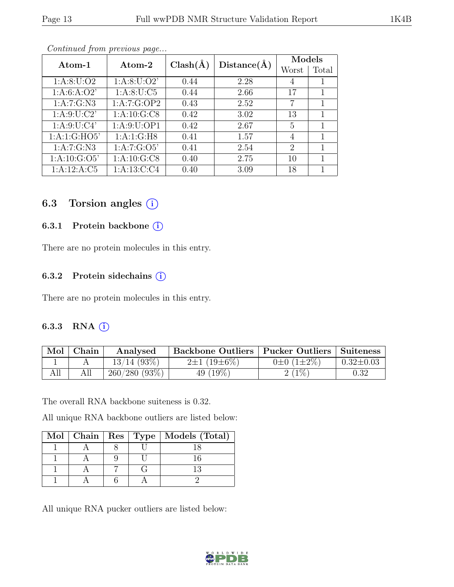|--|--|--|--|

|                  |                      |              |             | Models                      |       |
|------------------|----------------------|--------------|-------------|-----------------------------|-------|
| Atom-1           | $\rm{Atom}\text{-}2$ | $Clash(\AA)$ | Distance(A) | Worst                       | Total |
| 1: A:8: U:O2     | 1: A:8: U:O2'        | 0.44         | 2.28        | 4                           |       |
| 1: A:6: A:O2'    | 1: A:8: U: C5        | 0.44         | 2.66        | 17                          | 1     |
| 1:A:7:G:N3       | 1:A:7:G:OP2          | 0.43         | 2.52        | 7                           | 1     |
| 1: A:9: U: C2'   | 1: A: 10: G: C8      | 0.42         | 3.02        | 13                          |       |
| 1: A:9: U: C4'   | 1: A:9: U: OP1       | 0.42         | 2.67        | 5                           | 1     |
| 1:A:1:G:HO5'     | 1:A:1:G:H8           | 0.41         | 1.57        | 4                           |       |
| 1: A: 7: G: N3   | 1: A: 7: G: O5'      | 0.41         | 2.54        | $\mathcal{D}_{\mathcal{L}}$ |       |
| 1: A: 10: G: O5' | 1: A: 10: G: C8      | 0.40         | 2.75        | 10                          | 1     |
| 1:A:12:A:C5      | 1: A: 13: C: C4      | 0.40         | 3.09        | 18                          |       |

Continued from previous page...

### 6.3 Torsion angles  $(i)$

#### 6.3.1 Protein backbone (i)

There are no protein molecules in this entry.

#### 6.3.2 Protein sidechains (i)

There are no protein molecules in this entry.

#### 6.3.3 RNA  $(i)$

| Mol | Chain | Analysed       | Backbone Outliers   Pucker Outliers   Suiteness |                       |                 |
|-----|-------|----------------|-------------------------------------------------|-----------------------|-----------------|
|     |       | $13/14$ (93\%) | $2\pm1(19\pm6\%)$                               | $0\pm 0$ $(1\pm 2\%)$ | $0.32 \pm 0.03$ |
| All |       | 260/280(93%)   | 49 $(19\%)$                                     | 2(1%                  | 0.32            |

The overall RNA backbone suiteness is 0.32.

All unique RNA backbone outliers are listed below:

|  |  | Mol   Chain   Res   Type   Models (Total) |
|--|--|-------------------------------------------|
|  |  |                                           |
|  |  |                                           |
|  |  |                                           |
|  |  |                                           |

All unique RNA pucker outliers are listed below:

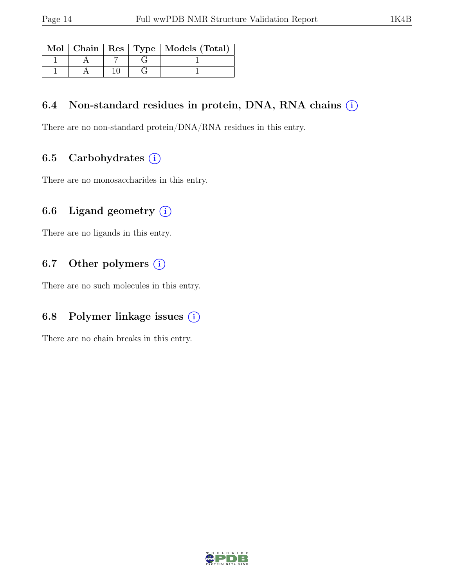|  |  | Mol   Chain   Res   Type   Models (Total) |
|--|--|-------------------------------------------|
|  |  |                                           |
|  |  |                                           |

## 6.4 Non-standard residues in protein, DNA, RNA chains  $(i)$

There are no non-standard protein/DNA/RNA residues in this entry.

## 6.5 Carbohydrates  $(i)$

There are no monosaccharides in this entry.

## 6.6 Ligand geometry  $(i)$

There are no ligands in this entry.

### 6.7 Other polymers  $(i)$

There are no such molecules in this entry.

### 6.8 Polymer linkage issues  $(i)$

There are no chain breaks in this entry.